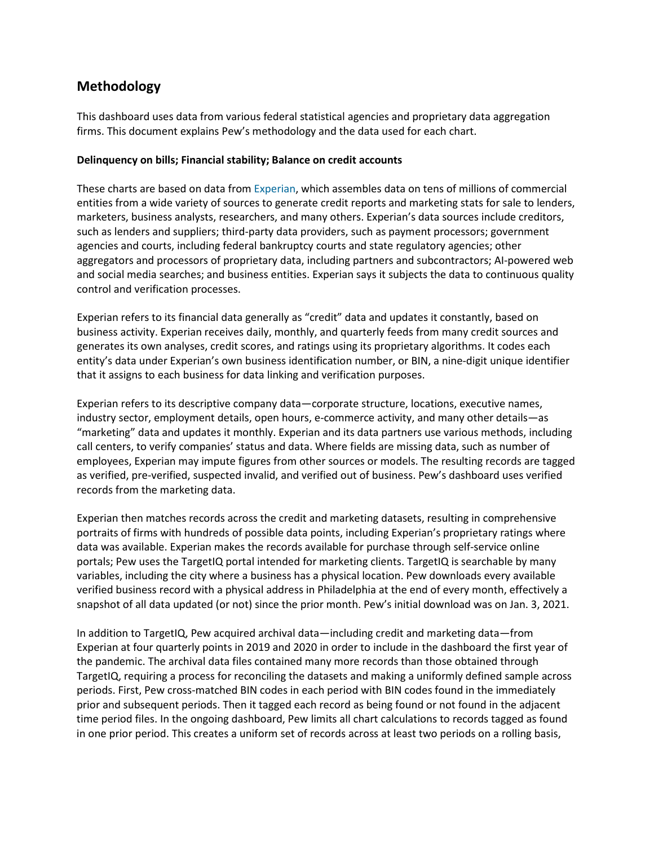# **Methodology**

This dashboard uses data from various federal statistical agencies and proprietary data aggregation firms. This document explains Pew's methodology and the data used for each chart.

#### **Delinquency on bills; Financial stability; Balance on credit accounts**

These charts are based on data from [Experian,](http://www.experian.com/corporate/about-experian) which assembles data on tens of millions of commercial entities from a wide variety of sources to generate credit reports and marketing stats for sale to lenders, marketers, business analysts, researchers, and many others. Experian's data sources include creditors, such as lenders and suppliers; third-party data providers, such as payment processors; government agencies and courts, including federal bankruptcy courts and state regulatory agencies; other aggregators and processors of proprietary data, including partners and subcontractors; AI-powered web and social media searches; and business entities. Experian says it subjects the data to continuous quality control and verification processes.

Experian refers to its financial data generally as "credit" data and updates it constantly, based on business activity. Experian receives daily, monthly, and quarterly feeds from many credit sources and generates its own analyses, credit scores, and ratings using its proprietary algorithms. It codes each entity's data under Experian's own business identification number, or BIN, a nine-digit unique identifier that it assigns to each business for data linking and verification purposes.

Experian refers to its descriptive company data—corporate structure, locations, executive names, industry sector, employment details, open hours, e-commerce activity, and many other details—as "marketing" data and updates it monthly. Experian and its data partners use various methods, including call centers, to verify companies' status and data. Where fields are missing data, such as number of employees, Experian may impute figures from other sources or models. The resulting records are tagged as verified, pre-verified, suspected invalid, and verified out of business. Pew's dashboard uses verified records from the marketing data.

Experian then matches records across the credit and marketing datasets, resulting in comprehensive portraits of firms with hundreds of possible data points, including Experian's proprietary ratings where data was available. Experian makes the records available for purchase through self-service online portals; Pew uses the TargetIQ portal intended for marketing clients. TargetIQ is searchable by many variables, including the city where a business has a physical location. Pew downloads every available verified business record with a physical address in Philadelphia at the end of every month, effectively a snapshot of all data updated (or not) since the prior month. Pew's initial download was on Jan. 3, 2021.

In addition to TargetIQ, Pew acquired archival data—including credit and marketing data—from Experian at four quarterly points in 2019 and 2020 in order to include in the dashboard the first year of the pandemic. The archival data files contained many more records than those obtained through TargetIQ, requiring a process for reconciling the datasets and making a uniformly defined sample across periods. First, Pew cross-matched BIN codes in each period with BIN codes found in the immediately prior and subsequent periods. Then it tagged each record as being found or not found in the adjacent time period files. In the ongoing dashboard, Pew limits all chart calculations to records tagged as found in one prior period. This creates a uniform set of records across at least two periods on a rolling basis,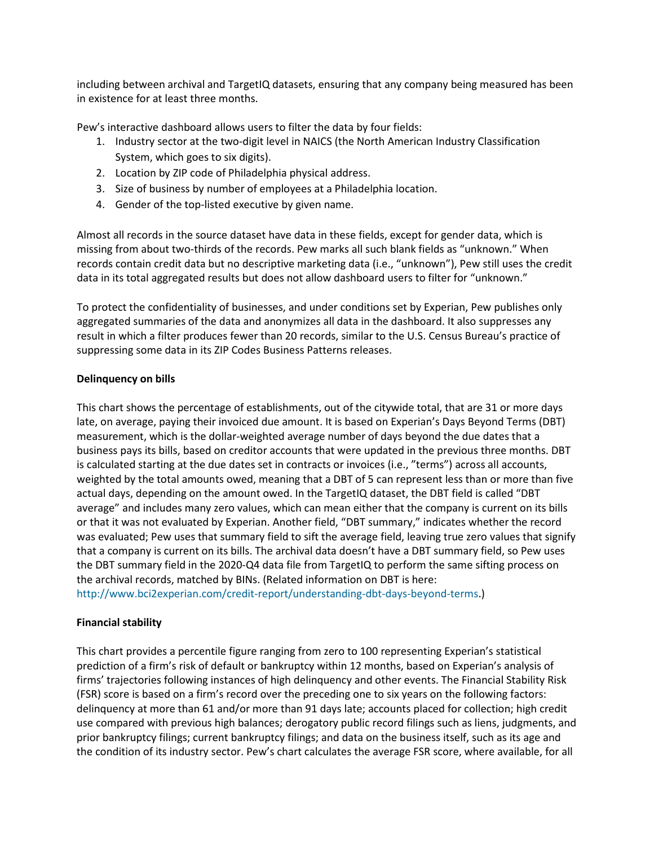including between archival and TargetIQ datasets, ensuring that any company being measured has been in existence for at least three months.

Pew's interactive dashboard allows users to filter the data by four fields:

- 1. Industry sector at the two-digit level in NAICS (the North American Industry Classification System, which goes to six digits).
- 2. Location by ZIP code of Philadelphia physical address.
- 3. Size of business by number of employees at a Philadelphia location.
- 4. Gender of the top-listed executive by given name.

Almost all records in the source dataset have data in these fields, except for gender data, which is missing from about two-thirds of the records. Pew marks all such blank fields as "unknown." When records contain credit data but no descriptive marketing data (i.e., "unknown"), Pew still uses the credit data in its total aggregated results but does not allow dashboard users to filter for "unknown."

To protect the confidentiality of businesses, and under conditions set by Experian, Pew publishes only aggregated summaries of the data and anonymizes all data in the dashboard. It also suppresses any result in which a filter produces fewer than 20 records, similar to the U.S. Census Bureau's practice of suppressing some data in its ZIP Codes Business Patterns releases.

### **Delinquency on bills**

This chart shows the percentage of establishments, out of the citywide total, that are 31 or more days late, on average, paying their invoiced due amount. It is based on Experian's Days Beyond Terms (DBT) measurement, which is the dollar-weighted average number of days beyond the due dates that a business pays its bills, based on creditor accounts that were updated in the previous three months. DBT is calculated starting at the due dates set in contracts or invoices (i.e., "terms") across all accounts, weighted by the total amounts owed, meaning that a DBT of 5 can represent less than or more than five actual days, depending on the amount owed. In the TargetIQ dataset, the DBT field is called "DBT average" and includes many zero values, which can mean either that the company is current on its bills or that it was not evaluated by Experian. Another field, "DBT summary," indicates whether the record was evaluated; Pew uses that summary field to sift the average field, leaving true zero values that signify that a company is current on its bills. The archival data doesn't have a DBT summary field, so Pew uses the DBT summary field in the 2020-Q4 data file from TargetIQ to perform the same sifting process on the archival records, matched by BINs. (Related information on DBT is here: [http://www.bci2experian.com/credit-report/understanding-dbt-days-beyond-terms.](http://www.bci2experian.com/credit-report/understanding-dbt-days-beyond-terms))

## **Financial stability**

This chart provides a percentile figure ranging from zero to 100 representing Experian's statistical prediction of a firm's risk of default or bankruptcy within 12 months, based on Experian's analysis of firms' trajectories following instances of high delinquency and other events. The Financial Stability Risk (FSR) score is based on a firm's record over the preceding one to six years on the following factors: delinquency at more than 61 and/or more than 91 days late; accounts placed for collection; high credit use compared with previous high balances; derogatory public record filings such as liens, judgments, and prior bankruptcy filings; current bankruptcy filings; and data on the business itself, such as its age and the condition of its industry sector. Pew's chart calculates the average FSR score, where available, for all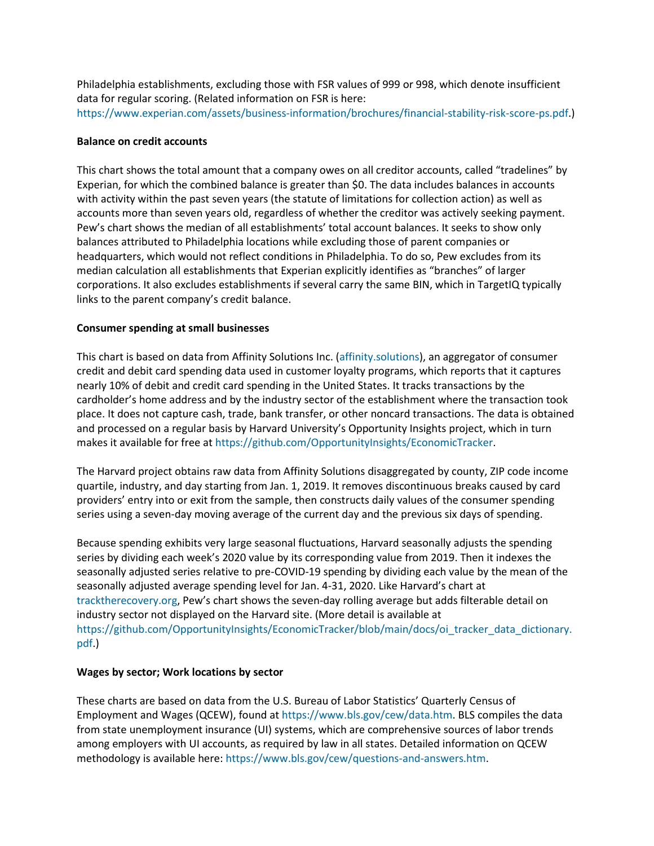Philadelphia establishments, excluding those with FSR values of 999 or 998, which denote insufficient data for regular scoring. (Related information on FSR is here: [https://www.experian.com/assets/business-information/brochures/financial-stability-risk-score-ps.pdf.](https://www.experian.com/assets/business-information/brochures/financial-stability-risk-score-ps.pdf))

### **Balance on credit accounts**

This chart shows the total amount that a company owes on all creditor accounts, called "tradelines" by Experian, for which the combined balance is greater than \$0. The data includes balances in accounts with activity within the past seven years (the statute of limitations for collection action) as well as accounts more than seven years old, regardless of whether the creditor was actively seeking payment. Pew's chart shows the median of all establishments' total account balances. It seeks to show only balances attributed to Philadelphia locations while excluding those of parent companies or headquarters, which would not reflect conditions in Philadelphia. To do so, Pew excludes from its median calculation all establishments that Experian explicitly identifies as "branches" of larger corporations. It also excludes establishments if several carry the same BIN, which in TargetIQ typically links to the parent company's credit balance.

#### **Consumer spending at small businesses**

This chart is based on data from Affinity Solutions Inc. [\(affinity.solutions\)](http://affinity.solutions/), an aggregator of consumer credit and debit card spending data used in customer loyalty programs, which reports that it captures nearly 10% of debit and credit card spending in the United States. It tracks transactions by the cardholder's home address and by the industry sector of the establishment where the transaction took place. It does not capture cash, trade, bank transfer, or other noncard transactions. The data is obtained and processed on a regular basis by Harvard University's Opportunity Insights project, which in turn makes it available for free a[t https://github.com/OpportunityInsights/EconomicTracker.](https://github.com/OpportunityInsights/EconomicTracker)

The Harvard project obtains raw data from Affinity Solutions disaggregated by county, ZIP code income quartile, industry, and day starting from Jan. 1, 2019. It removes discontinuous breaks caused by card providers' entry into or exit from the sample, then constructs daily values of the consumer spending series using a seven-day moving average of the current day and the previous six days of spending.

Because spending exhibits very large seasonal fluctuations, Harvard seasonally adjusts the spending series by dividing each week's 2020 value by its corresponding value from 2019. Then it indexes the seasonally adjusted series relative to pre-COVID-19 spending by dividing each value by the mean of the seasonally adjusted average spending level for Jan. 4-31, 2020. Like Harvard's chart at [tracktherecovery.org,](http://tracktherecovery.org/) Pew's chart shows the seven-day rolling average but adds filterable detail on industry sector not displayed on the Harvard site. (More detail is available at [https://github.com/OpportunityInsights/EconomicTracker/blob/main/docs/oi\\_tracker\\_data\\_dictionary.](https://github.com/OpportunityInsights/EconomicTracker/blob/main/docs/oi_tracker_data_dictionary.pdf) [pdf.](https://github.com/OpportunityInsights/EconomicTracker/blob/main/docs/oi_tracker_data_dictionary.pdf))

### **Wages by sector; Work locations by sector**

These charts are based on data from the U.S. Bureau of Labor Statistics' Quarterly Census of Employment and Wages (QCEW), found at [https://www.bls.gov/cew/data.htm.](https://www.bls.gov/cew/data.htm) BLS compiles the data from state unemployment insurance (UI) systems, which are comprehensive sources of labor trends among employers with UI accounts, as required by law in all states. Detailed information on QCEW methodology is available here: [https://www.bls.gov/cew/questions-and-answers.htm.](https://www.bls.gov/cew/questions-and-answers.htm)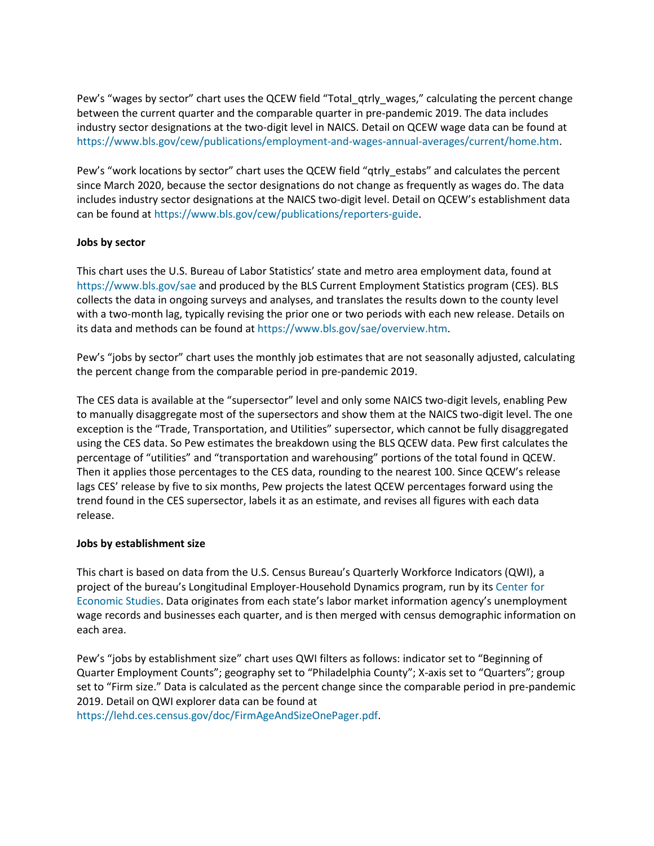Pew's "wages by sector" chart uses the QCEW field "Total\_qtrly\_wages," calculating the percent change between the current quarter and the comparable quarter in pre-pandemic 2019. The data includes industry sector designations at the two-digit level in NAICS. Detail on QCEW wage data can be found at [https://www.bls.gov/cew/publications/employment-and-wages-annual-averages/current/home.htm.](https://www.bls.gov/cew/publications/employment-and-wages-annual-averages/current/home.htm)

Pew's "work locations by sector" chart uses the QCEW field "qtrly\_estabs" and calculates the percent since March 2020, because the sector designations do not change as frequently as wages do. The data includes industry sector designations at the NAICS two-digit level. Detail on QCEW's establishment data can be found at [https://www.bls.gov/cew/publications/reporters-guide.](https://www.bls.gov/cew/publications/reporters-guide/)

### **Jobs by sector**

This chart uses the U.S. Bureau of Labor Statistics' state and metro area employment data, found at <https://www.bls.gov/sae> and produced by the BLS Current Employment Statistics program (CES). BLS collects the data in ongoing surveys and analyses, and translates the results down to the county level with a two-month lag, typically revising the prior one or two periods with each new release. Details on its data and methods can be found at [https://www.bls.gov/sae/overview.htm.](https://www.bls.gov/sae/overview.htm)

Pew's "jobs by sector" chart uses the monthly job estimates that are not seasonally adjusted, calculating the percent change from the comparable period in pre-pandemic 2019.

The CES data is available at the "supersector" level and only some NAICS two-digit levels, enabling Pew to manually disaggregate most of the supersectors and show them at the NAICS two-digit level. The one exception is the "Trade, Transportation, and Utilities" supersector, which cannot be fully disaggregated using the CES data. So Pew estimates the breakdown using the BLS QCEW data. Pew first calculates the percentage of "utilities" and "transportation and warehousing" portions of the total found in QCEW. Then it applies those percentages to the CES data, rounding to the nearest 100. Since QCEW's release lags CES' release by five to six months, Pew projects the latest QCEW percentages forward using the trend found in the CES supersector, labels it as an estimate, and revises all figures with each data release.

### **Jobs by establishment size**

This chart is based on data from the U.S. Census Bureau's Quarterly Workforce Indicators (QWI), a project of the bureau's Longitudinal Employer-Household Dynamics program, run by its [Center for](https://www.census.gov/programs-surveys/ces.html)  [Economic Studies.](https://www.census.gov/programs-surveys/ces.html) Data originates from each state's labor market information agency's unemployment wage records and businesses each quarter, and is then merged with census demographic information on each area.

Pew's "jobs by establishment size" chart uses QWI filters as follows: indicator set to "Beginning of Quarter Employment Counts"; geography set to "Philadelphia County"; X-axis set to "Quarters"; group set to "Firm size." Data is calculated as the percent change since the comparable period in pre-pandemic 2019. Detail on QWI explorer data can be found at

[https://lehd.ces.census.gov/doc/FirmAgeAndSizeOnePager.pdf.](https://lehd.ces.census.gov/doc/FirmAgeAndSizeOnePager.pdf)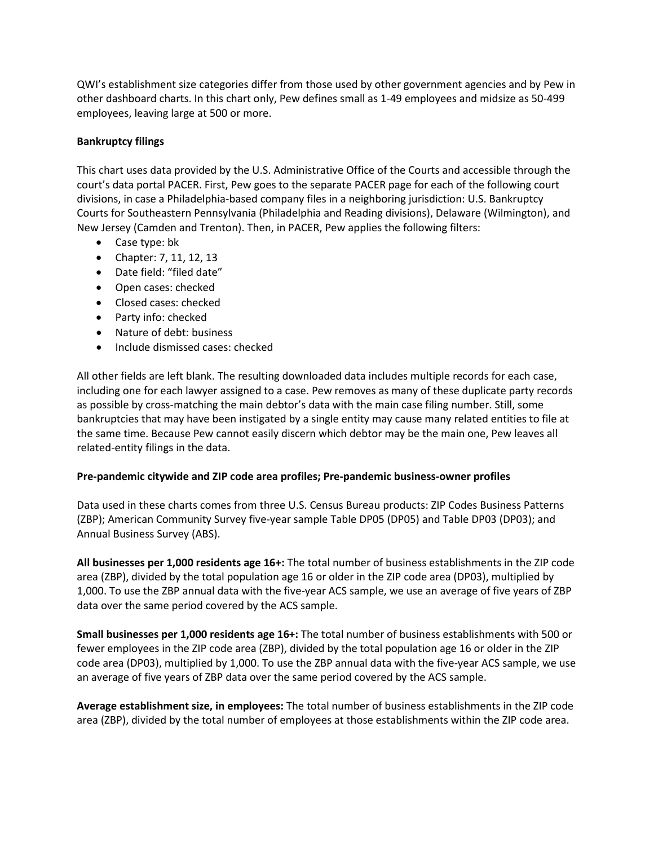QWI's establishment size categories differ from those used by other government agencies and by Pew in other dashboard charts. In this chart only, Pew defines small as 1-49 employees and midsize as 50-499 employees, leaving large at 500 or more.

## **Bankruptcy filings**

This chart uses data provided by the U.S. Administrative Office of the Courts and accessible through the court's data portal PACER. First, Pew goes to the separate PACER page for each of the following court divisions, in case a Philadelphia-based company files in a neighboring jurisdiction: U.S. Bankruptcy Courts for Southeastern Pennsylvania (Philadelphia and Reading divisions), Delaware (Wilmington), and New Jersey (Camden and Trenton). Then, in PACER, Pew applies the following filters:

- Case type: bk
- Chapter: 7, 11, 12, 13
- Date field: "filed date"
- Open cases: checked
- Closed cases: checked
- Party info: checked
- Nature of debt: business
- Include dismissed cases: checked

All other fields are left blank. The resulting downloaded data includes multiple records for each case, including one for each lawyer assigned to a case. Pew removes as many of these duplicate party records as possible by cross-matching the main debtor's data with the main case filing number. Still, some bankruptcies that may have been instigated by a single entity may cause many related entities to file at the same time. Because Pew cannot easily discern which debtor may be the main one, Pew leaves all related-entity filings in the data.

### **Pre-pandemic citywide and ZIP code area profiles; Pre-pandemic business-owner profiles**

Data used in these charts comes from three U.S. Census Bureau products: ZIP Codes Business Patterns (ZBP); American Community Survey five-year sample Table DP05 (DP05) and Table DP03 (DP03); and Annual Business Survey (ABS).

**All businesses per 1,000 residents age 16+:** The total number of business establishments in the ZIP code area (ZBP), divided by the total population age 16 or older in the ZIP code area (DP03), multiplied by 1,000. To use the ZBP annual data with the five-year ACS sample, we use an average of five years of ZBP data over the same period covered by the ACS sample.

**Small businesses per 1,000 residents age 16+:** The total number of business establishments with 500 or fewer employees in the ZIP code area (ZBP), divided by the total population age 16 or older in the ZIP code area (DP03), multiplied by 1,000. To use the ZBP annual data with the five-year ACS sample, we use an average of five years of ZBP data over the same period covered by the ACS sample.

**Average establishment size, in employees:** The total number of business establishments in the ZIP code area (ZBP), divided by the total number of employees at those establishments within the ZIP code area.